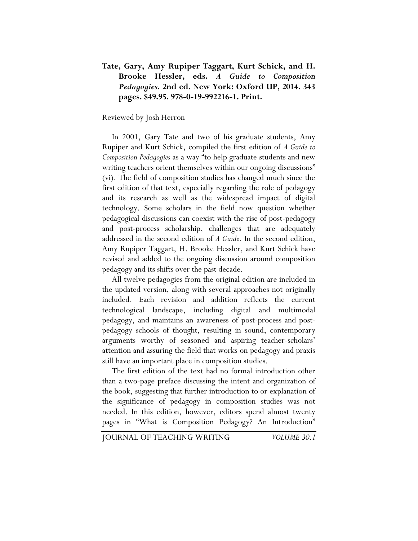## **Tate, Gary, Amy Rupiper Taggart, Kurt Schick, and H. Brooke Hessler, eds.** *A Guide to Composition Pedagogies.* **2nd ed. New York: Oxford UP, 2014. 343 pages. \$49.95. 978-0-19-992216-1. Print.**

## Reviewed by Josh Herron

In 2001, Gary Tate and two of his graduate students, Amy Rupiper and Kurt Schick, compiled the first edition of *A Guide to Composition Pedagogies* as a way "to help graduate students and new writing teachers orient themselves within our ongoing discussions" (vi). The field of composition studies has changed much since the first edition of that text, especially regarding the role of pedagogy and its research as well as the widespread impact of digital technology. Some scholars in the field now question whether pedagogical discussions can coexist with the rise of post-pedagogy and post-process scholarship, challenges that are adequately addressed in the second edition of *A Guide*. In the second edition, Amy Rupiper Taggart, H. Brooke Hessler, and Kurt Schick have revised and added to the ongoing discussion around composition pedagogy and its shifts over the past decade.

All twelve pedagogies from the original edition are included in the updated version, along with several approaches not originally included. Each revision and addition reflects the current technological landscape, including digital and multimodal pedagogy, and maintains an awareness of post-process and postpedagogy schools of thought, resulting in sound, contemporary arguments worthy of seasoned and aspiring teacher-scholars' attention and assuring the field that works on pedagogy and praxis still have an important place in composition studies.

The first edition of the text had no formal introduction other than a two-page preface discussing the intent and organization of the book, suggesting that further introduction to or explanation of the significance of pedagogy in composition studies was not needed. In this edition, however, editors spend almost twenty pages in "What is Composition Pedagogy? An Introduction"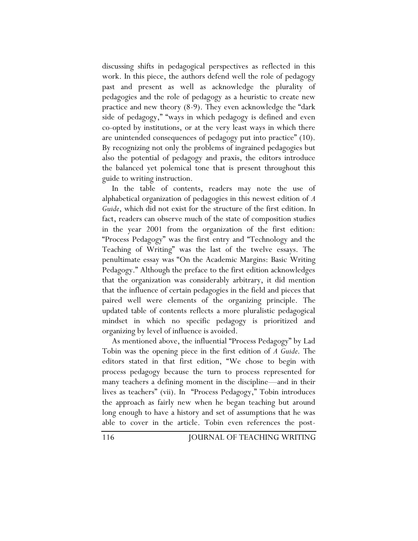discussing shifts in pedagogical perspectives as reflected in this work. In this piece, the authors defend well the role of pedagogy past and present as well as acknowledge the plurality of pedagogies and the role of pedagogy as a heuristic to create new practice and new theory (8-9). They even acknowledge the "dark side of pedagogy," "ways in which pedagogy is defined and even co-opted by institutions, or at the very least ways in which there are unintended consequences of pedagogy put into practice" (10). By recognizing not only the problems of ingrained pedagogies but also the potential of pedagogy and praxis, the editors introduce the balanced yet polemical tone that is present throughout this guide to writing instruction.

In the table of contents, readers may note the use of alphabetical organization of pedagogies in this newest edition of *A Guide*, which did not exist for the structure of the first edition. In fact, readers can observe much of the state of composition studies in the year 2001 from the organization of the first edition: "Process Pedagogy" was the first entry and "Technology and the Teaching of Writing" was the last of the twelve essays. The penultimate essay was "On the Academic Margins: Basic Writing Pedagogy." Although the preface to the first edition acknowledges that the organization was considerably arbitrary, it did mention that the influence of certain pedagogies in the field and pieces that paired well were elements of the organizing principle. The updated table of contents reflects a more pluralistic pedagogical mindset in which no specific pedagogy is prioritized and organizing by level of influence is avoided.

As mentioned above, the influential "Process Pedagogy" by Lad Tobin was the opening piece in the first edition of *A Guide*. The editors stated in that first edition, "We chose to begin with process pedagogy because the turn to process represented for many teachers a defining moment in the discipline—and in their lives as teachers" (vii). In "Process Pedagogy," Tobin introduces the approach as fairly new when he began teaching but around long enough to have a history and set of assumptions that he was able to cover in the article. Tobin even references the post-

116 JOURNAL OF TEACHING WRITING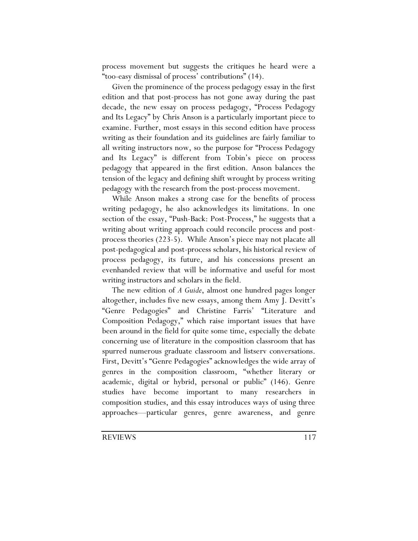process movement but suggests the critiques he heard were a "too-easy dismissal of process' contributions" (14).

Given the prominence of the process pedagogy essay in the first edition and that post-process has not gone away during the past decade, the new essay on process pedagogy, "Process Pedagogy and Its Legacy" by Chris Anson is a particularly important piece to examine. Further, most essays in this second edition have process writing as their foundation and its guidelines are fairly familiar to all writing instructors now, so the purpose for "Process Pedagogy and Its Legacy" is different from Tobin's piece on process pedagogy that appeared in the first edition. Anson balances the tension of the legacy and defining shift wrought by process writing pedagogy with the research from the post-process movement.

While Anson makes a strong case for the benefits of process writing pedagogy, he also acknowledges its limitations. In one section of the essay, "Push-Back: Post-Process," he suggests that a writing about writing approach could reconcile process and postprocess theories (223-5). While Anson's piece may not placate all post-pedagogical and post-process scholars, his historical review of process pedagogy, its future, and his concessions present an evenhanded review that will be informative and useful for most writing instructors and scholars in the field.

The new edition of *A Guide*, almost one hundred pages longer altogether, includes five new essays, among them Amy J. Devitt's "Genre Pedagogies" and Christine Farris' "Literature and Composition Pedagogy," which raise important issues that have been around in the field for quite some time, especially the debate concerning use of literature in the composition classroom that has spurred numerous graduate classroom and listserv conversations. First, Devitt's "Genre Pedagogies" acknowledges the wide array of genres in the composition classroom, "whether literary or academic, digital or hybrid, personal or public" (146). Genre studies have become important to many researchers in composition studies, and this essay introduces ways of using three approaches—particular genres, genre awareness, and genre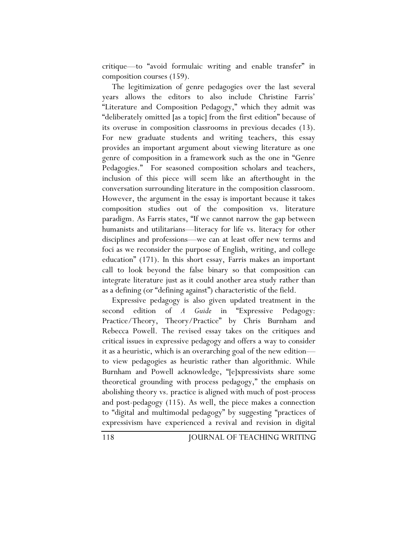critique—to "avoid formulaic writing and enable transfer" in composition courses (159).

The legitimization of genre pedagogies over the last several years allows the editors to also include Christine Farris' "Literature and Composition Pedagogy," which they admit was "deliberately omitted [as a topic] from the first edition" because of its overuse in composition classrooms in previous decades (13). For new graduate students and writing teachers, this essay provides an important argument about viewing literature as one genre of composition in a framework such as the one in "Genre Pedagogies." For seasoned composition scholars and teachers, inclusion of this piece will seem like an afterthought in the conversation surrounding literature in the composition classroom. However, the argument in the essay is important because it takes composition studies out of the composition vs. literature paradigm. As Farris states, "If we cannot narrow the gap between humanists and utilitarians—literacy for life vs. literacy for other disciplines and professions—we can at least offer new terms and foci as we reconsider the purpose of English, writing, and college education" (171). In this short essay, Farris makes an important call to look beyond the false binary so that composition can integrate literature just as it could another area study rather than as a defining (or "defining against") characteristic of the field.

Expressive pedagogy is also given updated treatment in the second edition of *A Guide* in "Expressive Pedagogy: Practice/Theory, Theory/Practice" by Chris Burnham and Rebecca Powell. The revised essay takes on the critiques and critical issues in expressive pedagogy and offers a way to consider it as a heuristic, which is an overarching goal of the new edition to view pedagogies as heuristic rather than algorithmic. While Burnham and Powell acknowledge, "[e]xpressivists share some theoretical grounding with process pedagogy," the emphasis on abolishing theory vs. practice is aligned with much of post-process and post-pedagogy (115). As well, the piece makes a connection to "digital and multimodal pedagogy" by suggesting "practices of expressivism have experienced a revival and revision in digital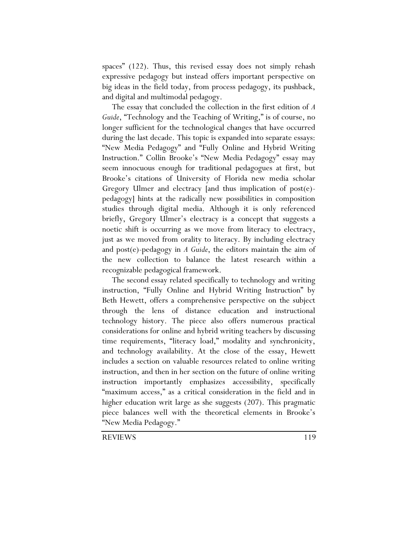spaces" (122). Thus, this revised essay does not simply rehash expressive pedagogy but instead offers important perspective on big ideas in the field today, from process pedagogy, its pushback, and digital and multimodal pedagogy.

The essay that concluded the collection in the first edition of *A Guide*, "Technology and the Teaching of Writing," is of course, no longer sufficient for the technological changes that have occurred during the last decade. This topic is expanded into separate essays: "New Media Pedagogy" and "Fully Online and Hybrid Writing Instruction." Collin Brooke's "New Media Pedagogy" essay may seem innocuous enough for traditional pedagogues at first, but Brooke's citations of University of Florida new media scholar Gregory Ulmer and electracy [and thus implication of post(e) pedagogy] hints at the radically new possibilities in composition studies through digital media. Although it is only referenced briefly, Gregory Ulmer's electracy is a concept that suggests a noetic shift is occurring as we move from literacy to electracy, just as we moved from orality to literacy. By including electracy and post(e)-pedagogy in *A Guide*, the editors maintain the aim of the new collection to balance the latest research within a recognizable pedagogical framework.

The second essay related specifically to technology and writing instruction, "Fully Online and Hybrid Writing Instruction" by Beth Hewett, offers a comprehensive perspective on the subject through the lens of distance education and instructional technology history. The piece also offers numerous practical considerations for online and hybrid writing teachers by discussing time requirements, "literacy load," modality and synchronicity, and technology availability. At the close of the essay, Hewett includes a section on valuable resources related to online writing instruction, and then in her section on the future of online writing instruction importantly emphasizes accessibility, specifically "maximum access," as a critical consideration in the field and in higher education writ large as she suggests (207). This pragmatic piece balances well with the theoretical elements in Brooke's "New Media Pedagogy."

REVIEWS 119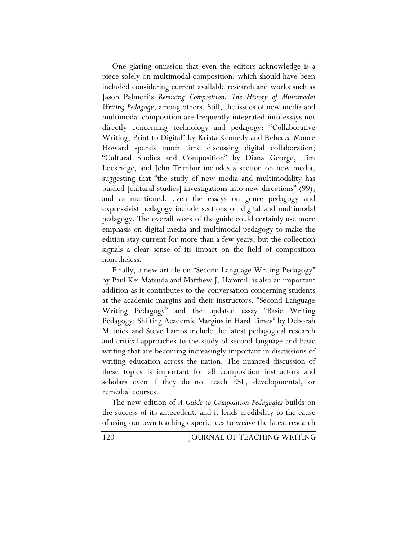One glaring omission that even the editors acknowledge is a piece solely on multimodal composition, which should have been included considering current available research and works such as Jason Palmeri's *Remixing Composition: The History of Multimodal Writing Pedagogy*, among others. Still, the issues of new media and multimodal composition are frequently integrated into essays not directly concerning technology and pedagogy: "Collaborative Writing, Print to Digital" by Krista Kennedy and Rebecca Moore Howard spends much time discussing digital collaboration; "Cultural Studies and Composition" by Diana George, Tim Lockridge, and John Trimbur includes a section on new media, suggesting that "the study of new media and multimodality has pushed [cultural studies] investigations into new directions" (99); and as mentioned, even the essays on genre pedagogy and expressivist pedagogy include sections on digital and multimodal pedagogy. The overall work of the guide could certainly use more emphasis on digital media and multimodal pedagogy to make the edition stay current for more than a few years, but the collection signals a clear sense of its impact on the field of composition nonetheless.

Finally, a new article on "Second Language Writing Pedagogy" by Paul Kei Matsuda and Matthew J. Hammill is also an important addition as it contributes to the conversation concerning students at the academic margins and their instructors. "Second Language Writing Pedagogy" and the updated essay "Basic Writing Pedagogy: Shifting Academic Margins in Hard Times" by Deborah Mutnick and Steve Lamos include the latest pedagogical research and critical approaches to the study of second language and basic writing that are becoming increasingly important in discussions of writing education across the nation. The nuanced discussion of these topics is important for all composition instructors and scholars even if they do not teach ESL, developmental, or remedial courses.

The new edition of *A Guide to Composition Pedagogies* builds on the success of its antecedent, and it lends credibility to the cause of using our own teaching experiences to weave the latest research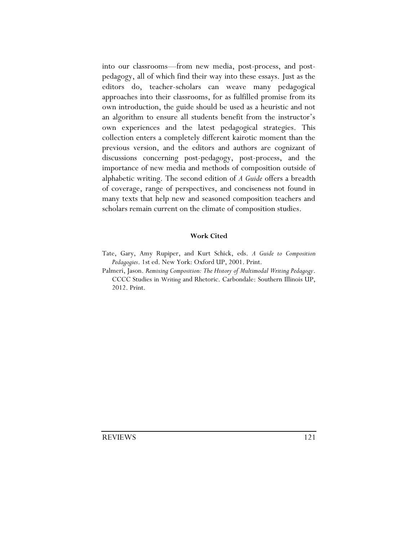into our classrooms—from new media, post-process, and postpedagogy, all of which find their way into these essays. Just as the editors do, teacher-scholars can weave many pedagogical approaches into their classrooms, for as fulfilled promise from its own introduction, the guide should be used as a heuristic and not an algorithm to ensure all students benefit from the instructor's own experiences and the latest pedagogical strategies. This collection enters a completely different kairotic moment than the previous version, and the editors and authors are cognizant of discussions concerning post-pedagogy, post-process, and the importance of new media and methods of composition outside of alphabetic writing. The second edition of *A Guide* offers a breadth of coverage, range of perspectives, and conciseness not found in many texts that help new and seasoned composition teachers and scholars remain current on the climate of composition studies.

## **Work Cited**

Tate, Gary, Amy Rupiper, and Kurt Schick, eds. *A Guide to Composition Pedagogies*. 1st ed. New York: Oxford UP, 2001. Print.

Palmeri, Jason. *Remixing Composition: The History of Multimodal Writing Pedagogy*. CCCC Studies in Writing and Rhetoric. Carbondale: Southern Illinois UP, 2012. Print.